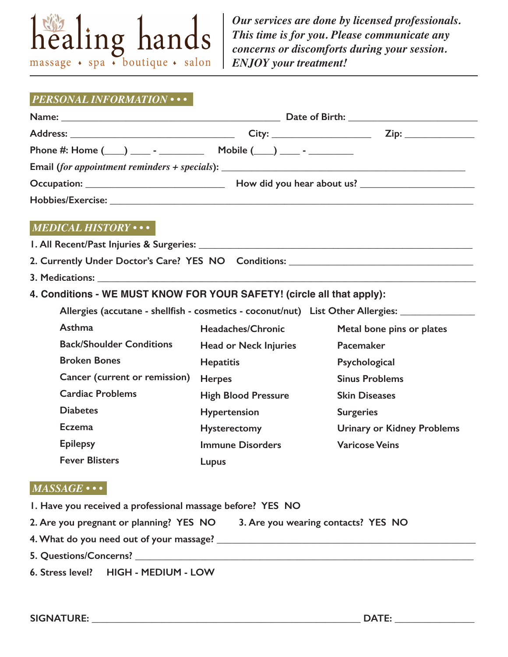

*Our services are done by licensed professionals. This time is for you. Please communicate any concerns or discomforts during your session. ENJOY your treatment!*

## *PERSONAL INFORMATION • • •*

| Email (for appointment reminders + specials): ___________________________________ |                              |                                                                                                     |  |  |  |
|-----------------------------------------------------------------------------------|------------------------------|-----------------------------------------------------------------------------------------------------|--|--|--|
|                                                                                   |                              |                                                                                                     |  |  |  |
|                                                                                   |                              |                                                                                                     |  |  |  |
| $MEDICAL HISTORY \cdots$                                                          |                              |                                                                                                     |  |  |  |
|                                                                                   |                              |                                                                                                     |  |  |  |
| 2. Currently Under Doctor's Care? YES NO Conditions: ___________________________  |                              |                                                                                                     |  |  |  |
|                                                                                   |                              |                                                                                                     |  |  |  |
| 4. Conditions - WE MUST KNOW FOR YOUR SAFETY! (circle all that apply):            |                              |                                                                                                     |  |  |  |
|                                                                                   |                              | Allergies (accutane - shellfish - cosmetics - coconut/nut) List Other Allergies: __________________ |  |  |  |
| Asthma                                                                            | Headaches/Chronic            | Metal bone pins or plates                                                                           |  |  |  |
| <b>Back/Shoulder Conditions</b>                                                   | <b>Head or Neck Injuries</b> | Pacemaker                                                                                           |  |  |  |
| <b>Broken Bones</b>                                                               | <b>Hepatitis</b>             | Psychological                                                                                       |  |  |  |
| Cancer (current or remission)                                                     | <b>Herpes</b>                | <b>Sinus Problems</b>                                                                               |  |  |  |
| <b>Cardiac Problems</b>                                                           | <b>High Blood Pressure</b>   | <b>Skin Diseases</b>                                                                                |  |  |  |
| <b>Diabetes</b>                                                                   | <b>Hypertension</b>          | <b>Surgeries</b>                                                                                    |  |  |  |
| <b>Eczema</b>                                                                     | <b>Hysterectomy</b>          | <b>Urinary or Kidney Problems</b>                                                                   |  |  |  |
| <b>Epilepsy</b>                                                                   | <b>Immune Disorders</b>      | <b>Varicose Veins</b>                                                                               |  |  |  |
| <b>Fever Blisters</b>                                                             | Lupus                        |                                                                                                     |  |  |  |
| $MASSAGE \cdot \cdot \cdot$                                                       |                              |                                                                                                     |  |  |  |
| I. Have you received a professional massage before? YES NO                        |                              |                                                                                                     |  |  |  |
| 2. Are you pregnant or planning? YES NO 3. Are you wearing contacts? YES NO       |                              |                                                                                                     |  |  |  |
|                                                                                   |                              |                                                                                                     |  |  |  |
|                                                                                   |                              |                                                                                                     |  |  |  |

**6. Stress level? HIGH - MEDIUM - LOW**